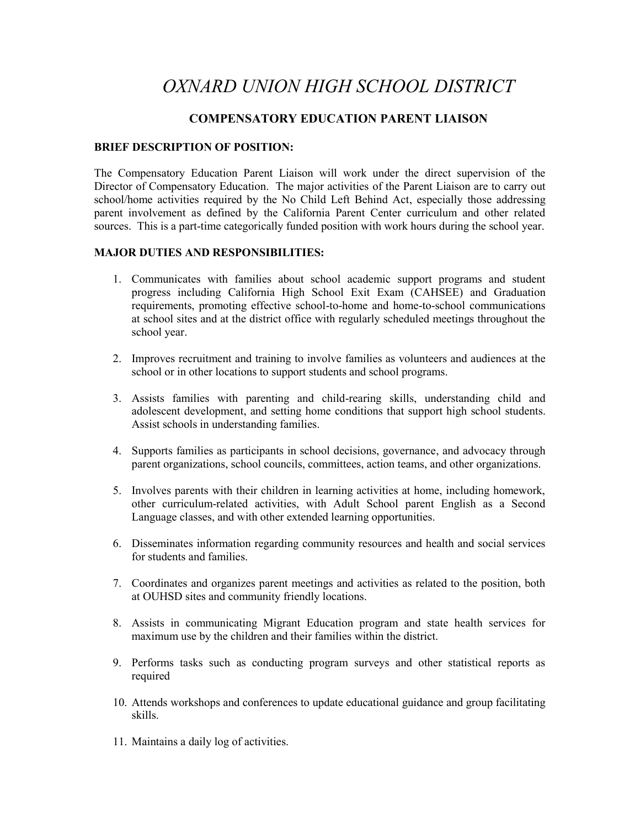# *OXNARD UNION HIGH SCHOOL DISTRICT*

# **COMPENSATORY EDUCATION PARENT LIAISON**

# **BRIEF DESCRIPTION OF POSITION:**

The Compensatory Education Parent Liaison will work under the direct supervision of the Director of Compensatory Education. The major activities of the Parent Liaison are to carry out school/home activities required by the No Child Left Behind Act, especially those addressing parent involvement as defined by the California Parent Center curriculum and other related sources. This is a part-time categorically funded position with work hours during the school year.

# **MAJOR DUTIES AND RESPONSIBILITIES:**

- 1. Communicates with families about school academic support programs and student progress including California High School Exit Exam (CAHSEE) and Graduation requirements, promoting effective school-to-home and home-to-school communications at school sites and at the district office with regularly scheduled meetings throughout the school year.
- 2. Improves recruitment and training to involve families as volunteers and audiences at the school or in other locations to support students and school programs.
- 3. Assists families with parenting and child-rearing skills, understanding child and adolescent development, and setting home conditions that support high school students. Assist schools in understanding families.
- 4. Supports families as participants in school decisions, governance, and advocacy through parent organizations, school councils, committees, action teams, and other organizations.
- 5. Involves parents with their children in learning activities at home, including homework, other curriculum-related activities, with Adult School parent English as a Second Language classes, and with other extended learning opportunities.
- 6. Disseminates information regarding community resources and health and social services for students and families.
- 7. Coordinates and organizes parent meetings and activities as related to the position, both at OUHSD sites and community friendly locations.
- 8. Assists in communicating Migrant Education program and state health services for maximum use by the children and their families within the district.
- 9. Performs tasks such as conducting program surveys and other statistical reports as required
- 10. Attends workshops and conferences to update educational guidance and group facilitating skills.
- 11. Maintains a daily log of activities.